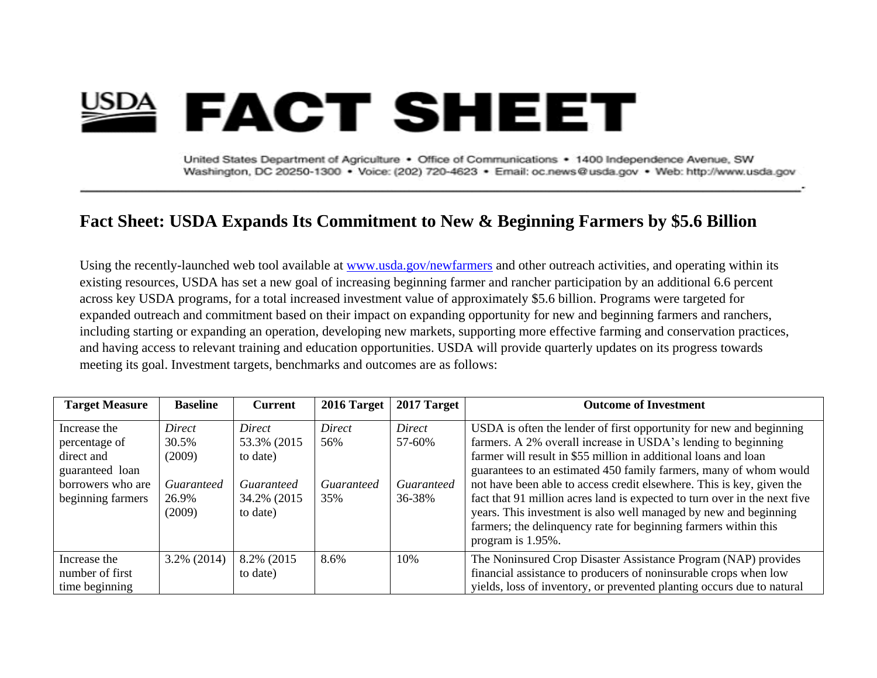## **EACT SHEET**

United States Department of Agriculture . Office of Communications . 1400 Independence Avenue, SW Washington, DC 20250-1300 · Voice: (202) 720-4623 · Email: oc.news@usda.gov · Web: http://www.usda.gov

## **Fact Sheet: USDA Expands Its Commitment to New & Beginning Farmers by \$5.6 Billion**

Using the recently-launched web tool available at [www.usda.gov/newfarmers](http://www.usda.gov/newfarmers) and other outreach activities, and operating within its existing resources, USDA has set a new goal of increasing beginning farmer and rancher participation by an additional 6.6 percent across key USDA programs, for a total increased investment value of approximately \$5.6 billion. Programs were targeted for expanded outreach and commitment based on their impact on expanding opportunity for new and beginning farmers and ranchers, including starting or expanding an operation, developing new markets, supporting more effective farming and conservation practices, and having access to relevant training and education opportunities. USDA will provide quarterly updates on its progress towards meeting its goal. Investment targets, benchmarks and outcomes are as follows:

| <b>Target Measure</b> | <b>Baseline</b> | <b>Current</b>           | 2016 Target | $2017$ Target     | <b>Outcome of Investment</b>                                                                                                                                                                                                          |
|-----------------------|-----------------|--------------------------|-------------|-------------------|---------------------------------------------------------------------------------------------------------------------------------------------------------------------------------------------------------------------------------------|
| Increase the          | Direct          | Direct                   | Direct      | Direct            | USDA is often the lender of first opportunity for new and beginning                                                                                                                                                                   |
| percentage of         | 30.5%           | 53.3% (2015)             | 56%         | 57-60%            | farmers. A 2% overall increase in USDA's lending to beginning                                                                                                                                                                         |
| direct and            | (2009)          | to date)                 |             |                   | farmer will result in \$55 million in additional loans and loan                                                                                                                                                                       |
| guaranteed loan       |                 |                          |             |                   | guarantees to an estimated 450 family farmers, many of whom would                                                                                                                                                                     |
| borrowers who are     | Guaranteed      | Guaranteed               | Guaranteed  | <b>Guaranteed</b> | not have been able to access credit elsewhere. This is key, given the                                                                                                                                                                 |
| beginning farmers     | 26.9%<br>(2009) | 34.2% (2015)<br>to date) | 35%         | 36-38%            | fact that 91 million acres land is expected to turn over in the next five<br>years. This investment is also well managed by new and beginning<br>farmers; the delinquency rate for beginning farmers within this<br>program is 1.95%. |
| Increase the          | $3.2\%$ (2014)  | 8.2% (2015)              | 8.6%        | 10%               | The Noninsured Crop Disaster Assistance Program (NAP) provides                                                                                                                                                                        |
| number of first       |                 | to date)                 |             |                   | financial assistance to producers of noninsurable crops when low                                                                                                                                                                      |
| time beginning        |                 |                          |             |                   | yields, loss of inventory, or prevented planting occurs due to natural                                                                                                                                                                |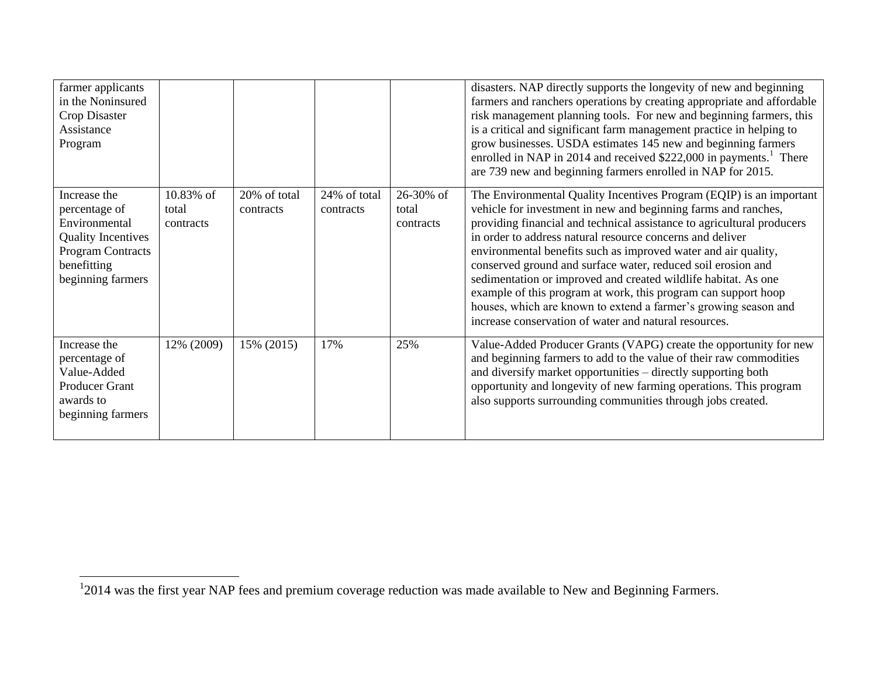| farmer applicants<br>in the Noninsured<br>Crop Disaster<br>Assistance<br>Program                                                            |                                 |                           |                           |                                 | disasters. NAP directly supports the longevity of new and beginning<br>farmers and ranchers operations by creating appropriate and affordable<br>risk management planning tools. For new and beginning farmers, this<br>is a critical and significant farm management practice in helping to<br>grow businesses. USDA estimates 145 new and beginning farmers<br>enrolled in NAP in 2014 and received \$222,000 in payments. <sup>1</sup> There<br>are 739 new and beginning farmers enrolled in NAP for 2015.                                                                                                                                                                 |
|---------------------------------------------------------------------------------------------------------------------------------------------|---------------------------------|---------------------------|---------------------------|---------------------------------|--------------------------------------------------------------------------------------------------------------------------------------------------------------------------------------------------------------------------------------------------------------------------------------------------------------------------------------------------------------------------------------------------------------------------------------------------------------------------------------------------------------------------------------------------------------------------------------------------------------------------------------------------------------------------------|
| Increase the<br>percentage of<br>Environmental<br><b>Quality Incentives</b><br><b>Program Contracts</b><br>benefitting<br>beginning farmers | 10.83% of<br>total<br>contracts | 20% of total<br>contracts | 24% of total<br>contracts | 26-30% of<br>total<br>contracts | The Environmental Quality Incentives Program (EQIP) is an important<br>vehicle for investment in new and beginning farms and ranches,<br>providing financial and technical assistance to agricultural producers<br>in order to address natural resource concerns and deliver<br>environmental benefits such as improved water and air quality,<br>conserved ground and surface water, reduced soil erosion and<br>sedimentation or improved and created wildlife habitat. As one<br>example of this program at work, this program can support hoop<br>houses, which are known to extend a farmer's growing season and<br>increase conservation of water and natural resources. |
| Increase the<br>percentage of<br>Value-Added<br><b>Producer Grant</b><br>awards to<br>beginning farmers                                     | 12% (2009)                      | 15% (2015)                | 17%                       | 25%                             | Value-Added Producer Grants (VAPG) create the opportunity for new<br>and beginning farmers to add to the value of their raw commodities<br>and diversify market opportunities – directly supporting both<br>opportunity and longevity of new farming operations. This program<br>also supports surrounding communities through jobs created.                                                                                                                                                                                                                                                                                                                                   |

<sup>&</sup>lt;sup>1</sup>2014 was the first year NAP fees and premium coverage reduction was made available to New and Beginning Farmers.